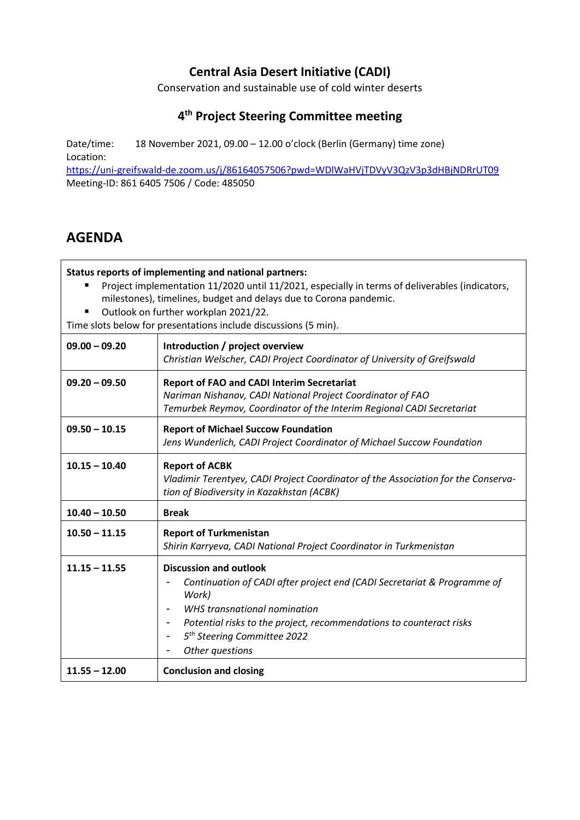## **Central Asia Desert Initiative (CADI)**

Conservation and sustainable use of cold winter deserts

## **4 th Project Steering Committee meeting**

Date/time: 18 November 2021, 09.00 – 12.00 o'clock (Berlin (Germany) time zone) Location:

<https://uni-greifswald-de.zoom.us/j/86164057506?pwd=WDlWaHVjTDVyV3QzV3p3dHBjNDRrUT09> Meeting-ID: 861 6405 7506 / Code: 485050

## **AGENDA**

**Status reports of implementing and national partners:**

- **Project implementation 11/2020 until 11/2021, especially in terms of deliverables (indicators,** milestones), timelines, budget and delays due to Corona pandemic.
- Outlook on further workplan 2021/22.

Time slots below for presentations include discussions (5 min).

| $09.00 - 09.20$ | Introduction / project overview<br>Christian Welscher, CADI Project Coordinator of University of Greifswald                                                                                                                                                                            |  |  |
|-----------------|----------------------------------------------------------------------------------------------------------------------------------------------------------------------------------------------------------------------------------------------------------------------------------------|--|--|
| $09.20 - 09.50$ | <b>Report of FAO and CADI Interim Secretariat</b><br>Nariman Nishanov, CADI National Project Coordinator of FAO<br>Temurbek Reymov, Coordinator of the Interim Regional CADI Secretariat                                                                                               |  |  |
| $09.50 - 10.15$ | <b>Report of Michael Succow Foundation</b><br>Jens Wunderlich, CADI Project Coordinator of Michael Succow Foundation                                                                                                                                                                   |  |  |
| $10.15 - 10.40$ | <b>Report of ACBK</b><br>Vladimir Terentyev, CADI Project Coordinator of the Association for the Conserva-<br>tion of Biodiversity in Kazakhstan (ACBK)                                                                                                                                |  |  |
| $10.40 - 10.50$ | <b>Break</b>                                                                                                                                                                                                                                                                           |  |  |
| $10.50 - 11.15$ | <b>Report of Turkmenistan</b><br>Shirin Karryeva, CADI National Project Coordinator in Turkmenistan                                                                                                                                                                                    |  |  |
| $11.15 - 11.55$ | <b>Discussion and outlook</b><br>Continuation of CADI after project end (CADI Secretariat & Programme of<br>Work)<br>WHS transnational nomination<br>Potential risks to the project, recommendations to counteract risks<br>5 <sup>th</sup> Steering Committee 2022<br>Other questions |  |  |
| $11.55 - 12.00$ | <b>Conclusion and closing</b>                                                                                                                                                                                                                                                          |  |  |